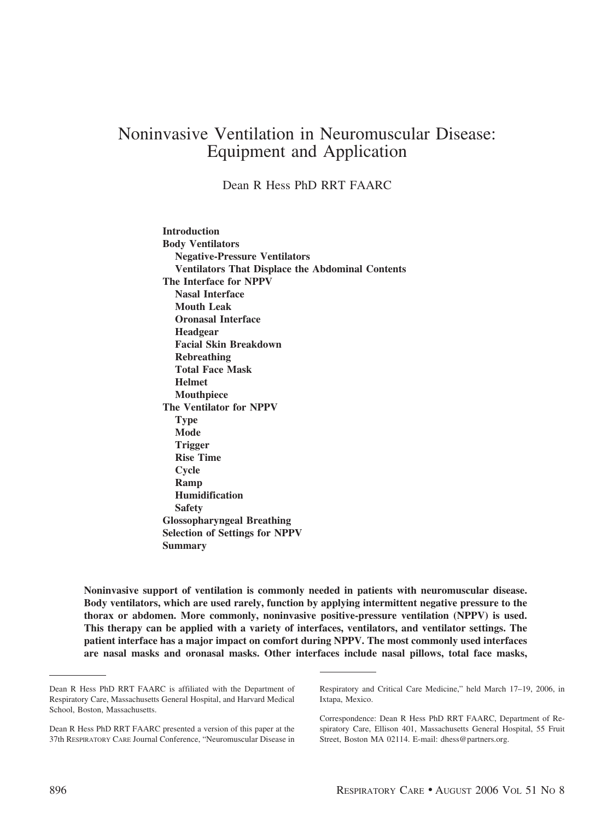# Noninvasive Ventilation in Neuromuscular Disease: Equipment and Application

Dean R Hess PhD RRT FAARC

**Introduction Body Ventilators Negative-Pressure Ventilators Ventilators That Displace the Abdominal Contents The Interface for NPPV Nasal Interface Mouth Leak Oronasal Interface Headgear Facial Skin Breakdown Rebreathing Total Face Mask Helmet Mouthpiece The Ventilator for NPPV Type Mode Trigger Rise Time Cycle Ramp Humidification Safety Glossopharyngeal Breathing Selection of Settings for NPPV Summary**

**Noninvasive support of ventilation is commonly needed in patients with neuromuscular disease. Body ventilators, which are used rarely, function by applying intermittent negative pressure to the thorax or abdomen. More commonly, noninvasive positive-pressure ventilation (NPPV) is used. This therapy can be applied with a variety of interfaces, ventilators, and ventilator settings. The patient interface has a major impact on comfort during NPPV. The most commonly used interfaces are nasal masks and oronasal masks. Other interfaces include nasal pillows, total face masks,**

Dean R Hess PhD RRT FAARC is affiliated with the Department of Respiratory Care, Massachusetts General Hospital, and Harvard Medical School, Boston, Massachusetts.

Dean R Hess PhD RRT FAARC presented a version of this paper at the 37th RESPIRATORY CARE Journal Conference, "Neuromuscular Disease in

Respiratory and Critical Care Medicine," held March 17–19, 2006, in Ixtapa, Mexico.

Correspondence: Dean R Hess PhD RRT FAARC, Department of Respiratory Care, Ellison 401, Massachusetts General Hospital, 55 Fruit Street, Boston MA 02114. E-mail: dhess@partners.org.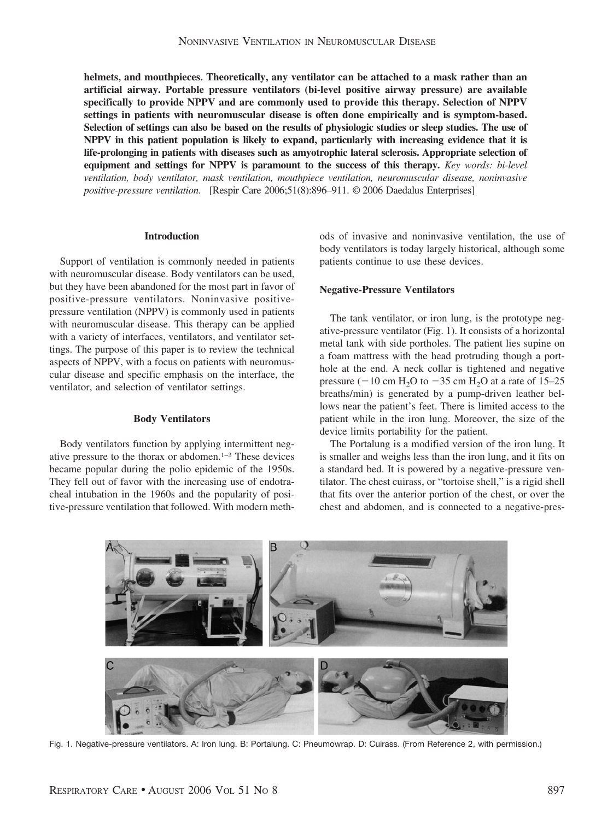**helmets, and mouthpieces. Theoretically, any ventilator can be attached to a mask rather than an artificial airway. Portable pressure ventilators (bi-level positive airway pressure) are available specifically to provide NPPV and are commonly used to provide this therapy. Selection of NPPV settings in patients with neuromuscular disease is often done empirically and is symptom-based. Selection of settings can also be based on the results of physiologic studies or sleep studies. The use of NPPV in this patient population is likely to expand, particularly with increasing evidence that it is life-prolonging in patients with diseases such as amyotrophic lateral sclerosis. Appropriate selection of equipment and settings for NPPV is paramount to the success of this therapy.** *Key words: bi-level ventilation, body ventilator, mask ventilation, mouthpiece ventilation, neuromuscular disease, noninvasive positive-pressure ventilation*. [Respir Care 2006;51(8):896–911. © 2006 Daedalus Enterprises]

## **Introduction**

Support of ventilation is commonly needed in patients with neuromuscular disease. Body ventilators can be used, but they have been abandoned for the most part in favor of positive-pressure ventilators. Noninvasive positivepressure ventilation (NPPV) is commonly used in patients with neuromuscular disease. This therapy can be applied with a variety of interfaces, ventilators, and ventilator settings. The purpose of this paper is to review the technical aspects of NPPV, with a focus on patients with neuromuscular disease and specific emphasis on the interface, the ventilator, and selection of ventilator settings.

#### **Body Ventilators**

Body ventilators function by applying intermittent negative pressure to the thorax or abdomen.1–3 These devices became popular during the polio epidemic of the 1950s. They fell out of favor with the increasing use of endotracheal intubation in the 1960s and the popularity of positive-pressure ventilation that followed. With modern methods of invasive and noninvasive ventilation, the use of body ventilators is today largely historical, although some patients continue to use these devices.

#### **Negative-Pressure Ventilators**

The tank ventilator, or iron lung, is the prototype negative-pressure ventilator (Fig. 1). It consists of a horizontal metal tank with side portholes. The patient lies supine on a foam mattress with the head protruding though a porthole at the end. A neck collar is tightened and negative pressure ( $-10$  cm H<sub>2</sub>O to  $-35$  cm H<sub>2</sub>O at a rate of 15–25 breaths/min) is generated by a pump-driven leather bellows near the patient's feet. There is limited access to the patient while in the iron lung. Moreover, the size of the device limits portability for the patient.

The Portalung is a modified version of the iron lung. It is smaller and weighs less than the iron lung, and it fits on a standard bed. It is powered by a negative-pressure ventilator. The chest cuirass, or "tortoise shell," is a rigid shell that fits over the anterior portion of the chest, or over the chest and abdomen, and is connected to a negative-pres-



Fig. 1. Negative-pressure ventilators. A: Iron lung. B: Portalung. C: Pneumowrap. D: Cuirass. (From Reference 2, with permission.)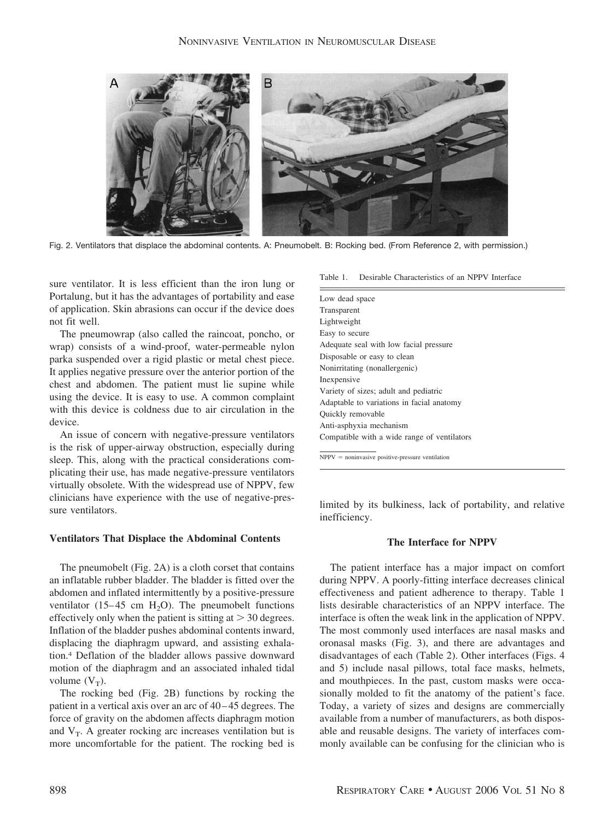

Fig. 2. Ventilators that displace the abdominal contents. A: Pneumobelt. B: Rocking bed. (From Reference 2, with permission.)

sure ventilator. It is less efficient than the iron lung or Portalung, but it has the advantages of portability and ease of application. Skin abrasions can occur if the device does not fit well.

The pneumowrap (also called the raincoat, poncho, or wrap) consists of a wind-proof, water-permeable nylon parka suspended over a rigid plastic or metal chest piece. It applies negative pressure over the anterior portion of the chest and abdomen. The patient must lie supine while using the device. It is easy to use. A common complaint with this device is coldness due to air circulation in the device.

An issue of concern with negative-pressure ventilators is the risk of upper-airway obstruction, especially during sleep. This, along with the practical considerations complicating their use, has made negative-pressure ventilators virtually obsolete. With the widespread use of NPPV, few clinicians have experience with the use of negative-pressure ventilators.

#### **Ventilators That Displace the Abdominal Contents**

The pneumobelt (Fig. 2A) is a cloth corset that contains an inflatable rubber bladder. The bladder is fitted over the abdomen and inflated intermittently by a positive-pressure ventilator  $(15-45 \text{ cm } H_2O)$ . The pneumobelt functions effectively only when the patient is sitting at  $>$  30 degrees. Inflation of the bladder pushes abdominal contents inward, displacing the diaphragm upward, and assisting exhalation.4 Deflation of the bladder allows passive downward motion of the diaphragm and an associated inhaled tidal volume  $(V_T)$ .

The rocking bed (Fig. 2B) functions by rocking the patient in a vertical axis over an arc of 40–45 degrees. The force of gravity on the abdomen affects diaphragm motion and  $V_T$ . A greater rocking arc increases ventilation but is more uncomfortable for the patient. The rocking bed is

| Desirable Characteristics of an NPPV Interface<br>Table 1. |  |
|------------------------------------------------------------|--|
|------------------------------------------------------------|--|

 $NPPV = noninvasive positive-pressure ventilation$ 

limited by its bulkiness, lack of portability, and relative inefficiency.

## **The Interface for NPPV**

The patient interface has a major impact on comfort during NPPV. A poorly-fitting interface decreases clinical effectiveness and patient adherence to therapy. Table 1 lists desirable characteristics of an NPPV interface. The interface is often the weak link in the application of NPPV. The most commonly used interfaces are nasal masks and oronasal masks (Fig. 3), and there are advantages and disadvantages of each (Table 2). Other interfaces (Figs. 4 and 5) include nasal pillows, total face masks, helmets, and mouthpieces. In the past, custom masks were occasionally molded to fit the anatomy of the patient's face. Today, a variety of sizes and designs are commercially available from a number of manufacturers, as both disposable and reusable designs. The variety of interfaces commonly available can be confusing for the clinician who is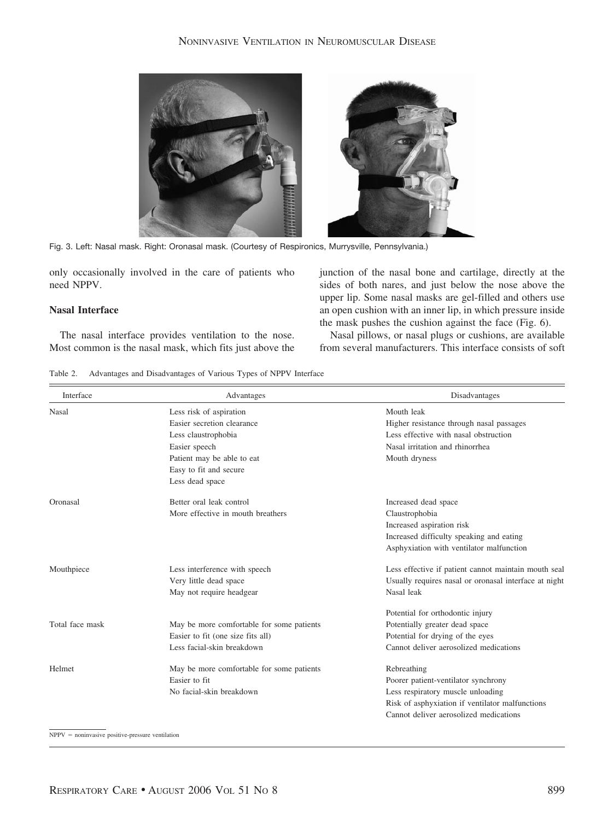

Fig. 3. Left: Nasal mask. Right: Oronasal mask. (Courtesy of Respironics, Murrysville, Pennsylvania.)

only occasionally involved in the care of patients who need NPPV.

#### **Nasal Interface**

The nasal interface provides ventilation to the nose. Most common is the nasal mask, which fits just above the junction of the nasal bone and cartilage, directly at the sides of both nares, and just below the nose above the upper lip. Some nasal masks are gel-filled and others use an open cushion with an inner lip, in which pressure inside the mask pushes the cushion against the face (Fig. 6).

Nasal pillows, or nasal plugs or cushions, are available from several manufacturers. This interface consists of soft

Table 2. Advantages and Disadvantages of Various Types of NPPV Interface

| Interface       | Advantages                                | Disadvantages                                         |  |  |
|-----------------|-------------------------------------------|-------------------------------------------------------|--|--|
| Nasal           | Less risk of aspiration                   | Mouth leak                                            |  |  |
|                 | Easier secretion clearance                | Higher resistance through nasal passages              |  |  |
|                 | Less claustrophobia                       | Less effective with nasal obstruction                 |  |  |
|                 | Easier speech                             | Nasal irritation and rhinorrhea                       |  |  |
|                 | Patient may be able to eat                | Mouth dryness                                         |  |  |
|                 | Easy to fit and secure                    |                                                       |  |  |
|                 | Less dead space                           |                                                       |  |  |
| Oronasal        | Better oral leak control                  | Increased dead space                                  |  |  |
|                 | More effective in mouth breathers         | Claustrophobia                                        |  |  |
|                 |                                           | Increased aspiration risk                             |  |  |
|                 |                                           | Increased difficulty speaking and eating              |  |  |
|                 |                                           | Asphyxiation with ventilator malfunction              |  |  |
| Mouthpiece      | Less interference with speech             | Less effective if patient cannot maintain mouth seal  |  |  |
|                 | Very little dead space                    | Usually requires nasal or oronasal interface at night |  |  |
|                 | May not require headgear                  | Nasal leak                                            |  |  |
|                 |                                           | Potential for orthodontic injury                      |  |  |
| Total face mask | May be more comfortable for some patients | Potentially greater dead space                        |  |  |
|                 | Easier to fit (one size fits all)         | Potential for drying of the eyes                      |  |  |
|                 | Less facial-skin breakdown                | Cannot deliver aerosolized medications                |  |  |
| Helmet          | May be more comfortable for some patients | Rebreathing                                           |  |  |
|                 | Easier to fit                             | Poorer patient-ventilator synchrony                   |  |  |
|                 | No facial-skin breakdown                  | Less respiratory muscle unloading                     |  |  |
|                 |                                           | Risk of asphyxiation if ventilator malfunctions       |  |  |
|                 |                                           | Cannot deliver aerosolized medications                |  |  |
|                 |                                           |                                                       |  |  |

 $NPPV = noninvasive positive-pressure ventilation$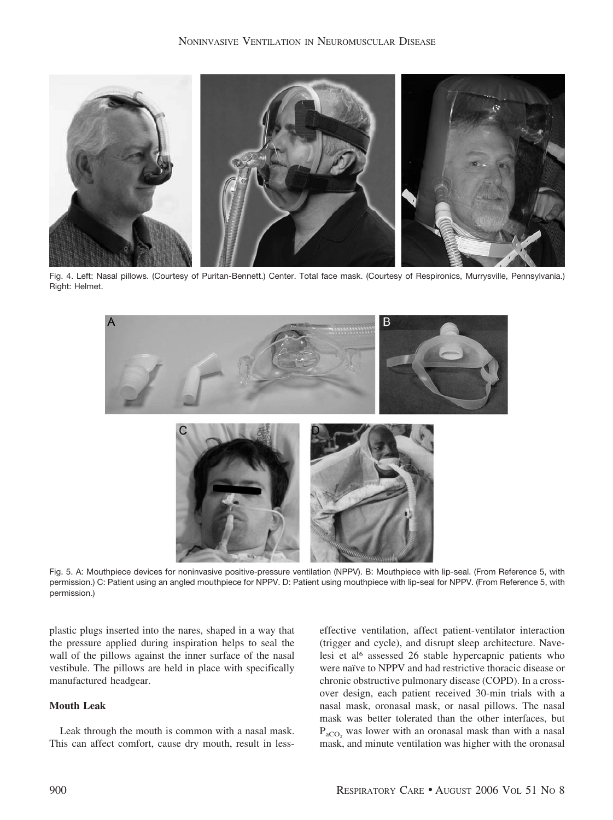

Fig. 4. Left: Nasal pillows. (Courtesy of Puritan-Bennett.) Center. Total face mask. (Courtesy of Respironics, Murrysville, Pennsylvania.) Right: Helmet.



Fig. 5. A: Mouthpiece devices for noninvasive positive-pressure ventilation (NPPV). B: Mouthpiece with lip-seal. (From Reference 5, with permission.) C: Patient using an angled mouthpiece for NPPV. D: Patient using mouthpiece with lip-seal for NPPV. (From Reference 5, with permission.)

plastic plugs inserted into the nares, shaped in a way that the pressure applied during inspiration helps to seal the wall of the pillows against the inner surface of the nasal vestibule. The pillows are held in place with specifically manufactured headgear.

# **Mouth Leak**

Leak through the mouth is common with a nasal mask. This can affect comfort, cause dry mouth, result in lesseffective ventilation, affect patient-ventilator interaction (trigger and cycle), and disrupt sleep architecture. Navelesi et al6 assessed 26 stable hypercapnic patients who were naïve to NPPV and had restrictive thoracic disease or chronic obstructive pulmonary disease (COPD). In a crossover design, each patient received 30-min trials with a nasal mask, oronasal mask, or nasal pillows. The nasal mask was better tolerated than the other interfaces, but  $P_{aCO}$ , was lower with an oronasal mask than with a nasal mask, and minute ventilation was higher with the oronasal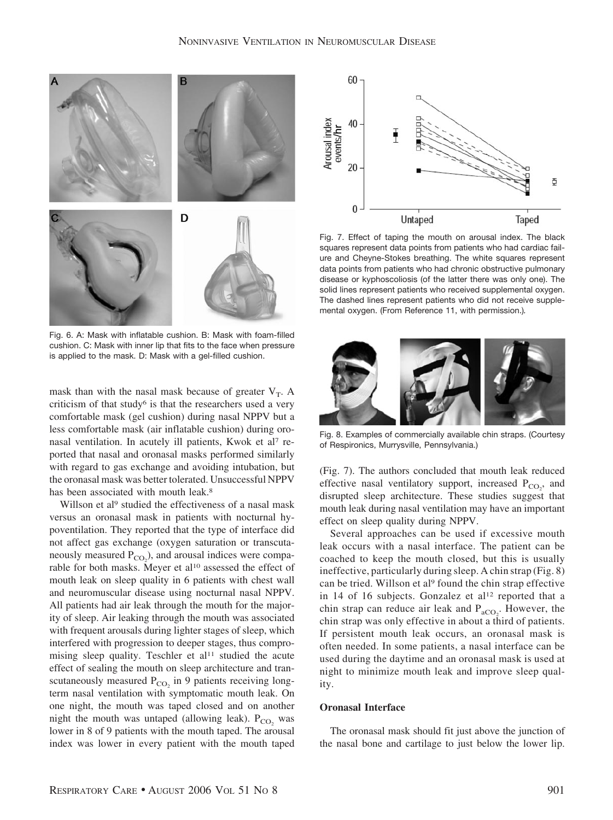

Fig. 6. A: Mask with inflatable cushion. B: Mask with foam-filled cushion. C: Mask with inner lip that fits to the face when pressure is applied to the mask. D: Mask with a gel-filled cushion.

mask than with the nasal mask because of greater  $V_T$ . A criticism of that study<sup>6</sup> is that the researchers used a very comfortable mask (gel cushion) during nasal NPPV but a less comfortable mask (air inflatable cushion) during oronasal ventilation. In acutely ill patients, Kwok et al<sup>7</sup> reported that nasal and oronasal masks performed similarly with regard to gas exchange and avoiding intubation, but the oronasal mask was better tolerated. Unsuccessful NPPV has been associated with mouth leak.<sup>8</sup>

Willson et al<sup>9</sup> studied the effectiveness of a nasal mask versus an oronasal mask in patients with nocturnal hypoventilation. They reported that the type of interface did not affect gas exchange (oxygen saturation or transcutaneously measured  $P_{CO_2}$ ), and arousal indices were comparable for both masks. Meyer et al<sup>10</sup> assessed the effect of mouth leak on sleep quality in 6 patients with chest wall and neuromuscular disease using nocturnal nasal NPPV. All patients had air leak through the mouth for the majority of sleep. Air leaking through the mouth was associated with frequent arousals during lighter stages of sleep, which interfered with progression to deeper stages, thus compromising sleep quality. Teschler et al<sup>11</sup> studied the acute effect of sealing the mouth on sleep architecture and transcutaneously measured  $P_{CO_2}$  in 9 patients receiving longterm nasal ventilation with symptomatic mouth leak. On one night, the mouth was taped closed and on another night the mouth was untaped (allowing leak).  $P_{CO_2}$  was lower in 8 of 9 patients with the mouth taped. The arousal index was lower in every patient with the mouth taped



Fig. 7. Effect of taping the mouth on arousal index. The black squares represent data points from patients who had cardiac failure and Cheyne-Stokes breathing. The white squares represent data points from patients who had chronic obstructive pulmonary disease or kyphoscoliosis (of the latter there was only one). The solid lines represent patients who received supplemental oxygen. The dashed lines represent patients who did not receive supplemental oxygen. (From Reference 11, with permission.)*.*



Fig. 8. Examples of commercially available chin straps. (Courtesy of Respironics, Murrysville, Pennsylvania.)

(Fig. 7). The authors concluded that mouth leak reduced effective nasal ventilatory support, increased  $P_{CO_2}$ , and disrupted sleep architecture. These studies suggest that mouth leak during nasal ventilation may have an important effect on sleep quality during NPPV.

Several approaches can be used if excessive mouth leak occurs with a nasal interface. The patient can be coached to keep the mouth closed, but this is usually ineffective, particularly during sleep. A chin strap (Fig. 8) can be tried. Willson et al<sup>9</sup> found the chin strap effective in 14 of 16 subjects. Gonzalez et al<sup>12</sup> reported that a chin strap can reduce air leak and  $P_{aCO_2}$ . However, the chin strap was only effective in about a third of patients. If persistent mouth leak occurs, an oronasal mask is often needed. In some patients, a nasal interface can be used during the daytime and an oronasal mask is used at night to minimize mouth leak and improve sleep quality.

#### **Oronasal Interface**

The oronasal mask should fit just above the junction of the nasal bone and cartilage to just below the lower lip.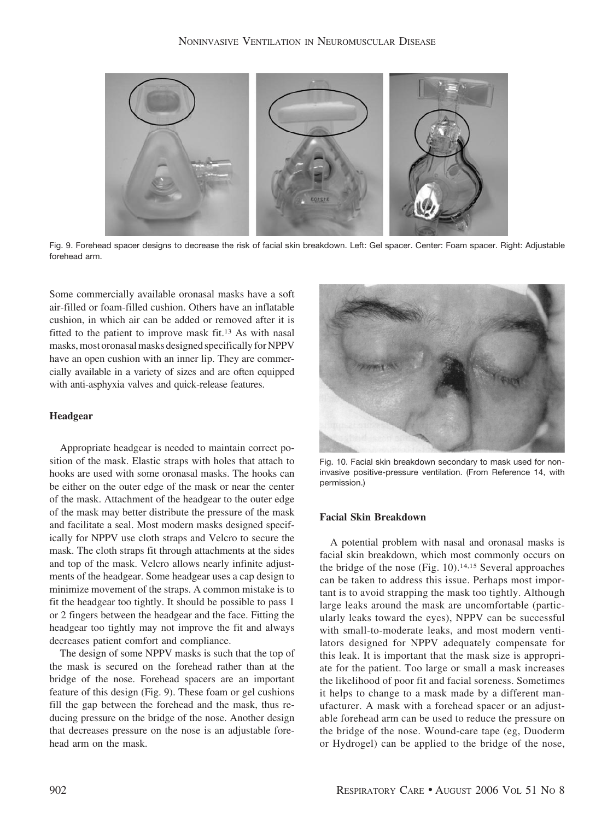

Fig. 9. Forehead spacer designs to decrease the risk of facial skin breakdown. Left: Gel spacer. Center: Foam spacer. Right: Adjustable forehead arm.

Some commercially available oronasal masks have a soft air-filled or foam-filled cushion. Others have an inflatable cushion, in which air can be added or removed after it is fitted to the patient to improve mask fit.13 As with nasal masks, most oronasal masks designed specifically for NPPV have an open cushion with an inner lip. They are commercially available in a variety of sizes and are often equipped with anti-asphyxia valves and quick-release features.

## **Headgear**

Appropriate headgear is needed to maintain correct position of the mask. Elastic straps with holes that attach to hooks are used with some oronasal masks. The hooks can be either on the outer edge of the mask or near the center of the mask. Attachment of the headgear to the outer edge of the mask may better distribute the pressure of the mask and facilitate a seal. Most modern masks designed specifically for NPPV use cloth straps and Velcro to secure the mask. The cloth straps fit through attachments at the sides and top of the mask. Velcro allows nearly infinite adjustments of the headgear. Some headgear uses a cap design to minimize movement of the straps. A common mistake is to fit the headgear too tightly. It should be possible to pass 1 or 2 fingers between the headgear and the face. Fitting the headgear too tightly may not improve the fit and always decreases patient comfort and compliance.

The design of some NPPV masks is such that the top of the mask is secured on the forehead rather than at the bridge of the nose. Forehead spacers are an important feature of this design (Fig. 9). These foam or gel cushions fill the gap between the forehead and the mask, thus reducing pressure on the bridge of the nose. Another design that decreases pressure on the nose is an adjustable forehead arm on the mask.



Fig. 10. Facial skin breakdown secondary to mask used for noninvasive positive-pressure ventilation. (From Reference 14, with permission.)

## **Facial Skin Breakdown**

A potential problem with nasal and oronasal masks is facial skin breakdown, which most commonly occurs on the bridge of the nose (Fig. 10).14,15 Several approaches can be taken to address this issue. Perhaps most important is to avoid strapping the mask too tightly. Although large leaks around the mask are uncomfortable (particularly leaks toward the eyes), NPPV can be successful with small-to-moderate leaks, and most modern ventilators designed for NPPV adequately compensate for this leak. It is important that the mask size is appropriate for the patient. Too large or small a mask increases the likelihood of poor fit and facial soreness. Sometimes it helps to change to a mask made by a different manufacturer. A mask with a forehead spacer or an adjustable forehead arm can be used to reduce the pressure on the bridge of the nose. Wound-care tape (eg, Duoderm or Hydrogel) can be applied to the bridge of the nose,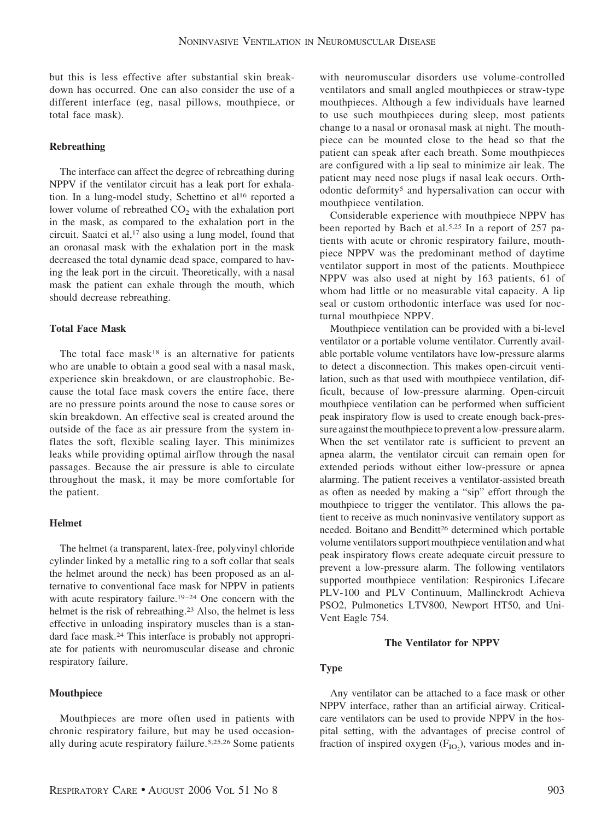but this is less effective after substantial skin breakdown has occurred. One can also consider the use of a different interface (eg, nasal pillows, mouthpiece, or total face mask).

## **Rebreathing**

The interface can affect the degree of rebreathing during NPPV if the ventilator circuit has a leak port for exhalation. In a lung-model study, Schettino et al<sup>16</sup> reported a lower volume of rebreathed  $CO<sub>2</sub>$  with the exhalation port in the mask, as compared to the exhalation port in the circuit. Saatci et al,<sup>17</sup> also using a lung model, found that an oronasal mask with the exhalation port in the mask decreased the total dynamic dead space, compared to having the leak port in the circuit. Theoretically, with a nasal mask the patient can exhale through the mouth, which should decrease rebreathing.

#### **Total Face Mask**

The total face mask<sup>18</sup> is an alternative for patients who are unable to obtain a good seal with a nasal mask, experience skin breakdown, or are claustrophobic. Because the total face mask covers the entire face, there are no pressure points around the nose to cause sores or skin breakdown. An effective seal is created around the outside of the face as air pressure from the system inflates the soft, flexible sealing layer. This minimizes leaks while providing optimal airflow through the nasal passages. Because the air pressure is able to circulate throughout the mask, it may be more comfortable for the patient.

#### **Helmet**

The helmet (a transparent, latex-free, polyvinyl chloride cylinder linked by a metallic ring to a soft collar that seals the helmet around the neck) has been proposed as an alternative to conventional face mask for NPPV in patients with acute respiratory failure.<sup>19-24</sup> One concern with the helmet is the risk of rebreathing.<sup>23</sup> Also, the helmet is less effective in unloading inspiratory muscles than is a standard face mask.24 This interface is probably not appropriate for patients with neuromuscular disease and chronic respiratory failure.

## **Mouthpiece**

Mouthpieces are more often used in patients with chronic respiratory failure, but may be used occasionally during acute respiratory failure.5,25,26 Some patients

with neuromuscular disorders use volume-controlled ventilators and small angled mouthpieces or straw-type mouthpieces. Although a few individuals have learned to use such mouthpieces during sleep, most patients change to a nasal or oronasal mask at night. The mouthpiece can be mounted close to the head so that the patient can speak after each breath. Some mouthpieces are configured with a lip seal to minimize air leak. The patient may need nose plugs if nasal leak occurs. Orthodontic deformity5 and hypersalivation can occur with mouthpiece ventilation.

Considerable experience with mouthpiece NPPV has been reported by Bach et al.5,25 In a report of 257 patients with acute or chronic respiratory failure, mouthpiece NPPV was the predominant method of daytime ventilator support in most of the patients. Mouthpiece NPPV was also used at night by 163 patients, 61 of whom had little or no measurable vital capacity. A lip seal or custom orthodontic interface was used for nocturnal mouthpiece NPPV.

Mouthpiece ventilation can be provided with a bi-level ventilator or a portable volume ventilator. Currently available portable volume ventilators have low-pressure alarms to detect a disconnection. This makes open-circuit ventilation, such as that used with mouthpiece ventilation, difficult, because of low-pressure alarming. Open-circuit mouthpiece ventilation can be performed when sufficient peak inspiratory flow is used to create enough back-pressure against the mouthpiece to prevent a low-pressure alarm. When the set ventilator rate is sufficient to prevent an apnea alarm, the ventilator circuit can remain open for extended periods without either low-pressure or apnea alarming. The patient receives a ventilator-assisted breath as often as needed by making a "sip" effort through the mouthpiece to trigger the ventilator. This allows the patient to receive as much noninvasive ventilatory support as needed. Boitano and Benditt<sup>26</sup> determined which portable volume ventilators support mouthpiece ventilation and what peak inspiratory flows create adequate circuit pressure to prevent a low-pressure alarm. The following ventilators supported mouthpiece ventilation: Respironics Lifecare PLV-100 and PLV Continuum, Mallinckrodt Achieva PSO2, Pulmonetics LTV800, Newport HT50, and Uni-Vent Eagle 754.

#### **The Ventilator for NPPV**

#### **Type**

Any ventilator can be attached to a face mask or other NPPV interface, rather than an artificial airway. Criticalcare ventilators can be used to provide NPPV in the hospital setting, with the advantages of precise control of fraction of inspired oxygen  $(F_{IO_2})$ , various modes and in-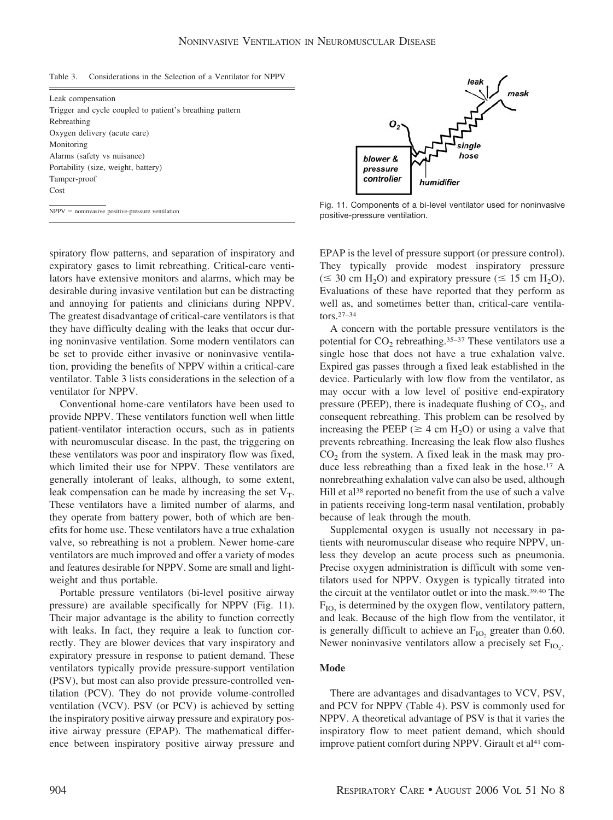| Table 3. | Considerations in the Selection of a Ventilator for NPPV |  |  |  |  |  |  |
|----------|----------------------------------------------------------|--|--|--|--|--|--|
|----------|----------------------------------------------------------|--|--|--|--|--|--|

| Leak compensation                                        |
|----------------------------------------------------------|
| Trigger and cycle coupled to patient's breathing pattern |
| Rebreathing                                              |
| Oxygen delivery (acute care)                             |
| Monitoring                                               |
| Alarms (safety vs nuisance)                              |
| Portability (size, weight, battery)                      |
| Tamper-proof                                             |
| Cost                                                     |
|                                                          |

spiratory flow patterns, and separation of inspiratory and expiratory gases to limit rebreathing. Critical-care ventilators have extensive monitors and alarms, which may be desirable during invasive ventilation but can be distracting and annoying for patients and clinicians during NPPV. The greatest disadvantage of critical-care ventilators is that they have difficulty dealing with the leaks that occur during noninvasive ventilation. Some modern ventilators can be set to provide either invasive or noninvasive ventilation, providing the benefits of NPPV within a critical-care ventilator. Table 3 lists considerations in the selection of a ventilator for NPPV.

Conventional home-care ventilators have been used to provide NPPV. These ventilators function well when little patient-ventilator interaction occurs, such as in patients with neuromuscular disease. In the past, the triggering on these ventilators was poor and inspiratory flow was fixed, which limited their use for NPPV. These ventilators are generally intolerant of leaks, although, to some extent, leak compensation can be made by increasing the set  $V_T$ . These ventilators have a limited number of alarms, and they operate from battery power, both of which are benefits for home use. These ventilators have a true exhalation valve, so rebreathing is not a problem. Newer home-care ventilators are much improved and offer a variety of modes and features desirable for NPPV. Some are small and lightweight and thus portable.

Portable pressure ventilators (bi-level positive airway pressure) are available specifically for NPPV (Fig. 11). Their major advantage is the ability to function correctly with leaks. In fact, they require a leak to function correctly. They are blower devices that vary inspiratory and expiratory pressure in response to patient demand. These ventilators typically provide pressure-support ventilation (PSV), but most can also provide pressure-controlled ventilation (PCV). They do not provide volume-controlled ventilation (VCV). PSV (or PCV) is achieved by setting the inspiratory positive airway pressure and expiratory positive airway pressure (EPAP). The mathematical difference between inspiratory positive airway pressure and



 $\overline{NPPV}$  = noninvasive positive-pressure ventilation  $NPV$  = noninvasive positive-pressure ventilation positive-pressure ventilation.

EPAP is the level of pressure support (or pressure control). They typically provide modest inspiratory pressure ( $\leq$  30 cm H<sub>2</sub>O) and expiratory pressure ( $\leq$  15 cm H<sub>2</sub>O). Evaluations of these have reported that they perform as well as, and sometimes better than, critical-care ventilators.27–34

A concern with the portable pressure ventilators is the potential for  $CO_2$  rebreathing.<sup>35-37</sup> These ventilators use a single hose that does not have a true exhalation valve. Expired gas passes through a fixed leak established in the device. Particularly with low flow from the ventilator, as may occur with a low level of positive end-expiratory pressure (PEEP), there is inadequate flushing of  $CO<sub>2</sub>$ , and consequent rebreathing. This problem can be resolved by increasing the PEEP ( $\geq 4$  cm H<sub>2</sub>O) or using a valve that prevents rebreathing. Increasing the leak flow also flushes  $CO<sub>2</sub>$  from the system. A fixed leak in the mask may produce less rebreathing than a fixed leak in the hose.17 A nonrebreathing exhalation valve can also be used, although Hill et al<sup>38</sup> reported no benefit from the use of such a valve in patients receiving long-term nasal ventilation, probably because of leak through the mouth.

Supplemental oxygen is usually not necessary in patients with neuromuscular disease who require NPPV, unless they develop an acute process such as pneumonia. Precise oxygen administration is difficult with some ventilators used for NPPV. Oxygen is typically titrated into the circuit at the ventilator outlet or into the mask.39,40 The  $F_{IO}$  is determined by the oxygen flow, ventilatory pattern, and leak. Because of the high flow from the ventilator, it is generally difficult to achieve an  $F_{IO}$  greater than 0.60. Newer noninvasive ventilators allow a precisely set  $F_{IO_2}$ .

#### **Mode**

There are advantages and disadvantages to VCV, PSV, and PCV for NPPV (Table 4). PSV is commonly used for NPPV. A theoretical advantage of PSV is that it varies the inspiratory flow to meet patient demand, which should improve patient comfort during NPPV. Girault et al<sup>41</sup> com-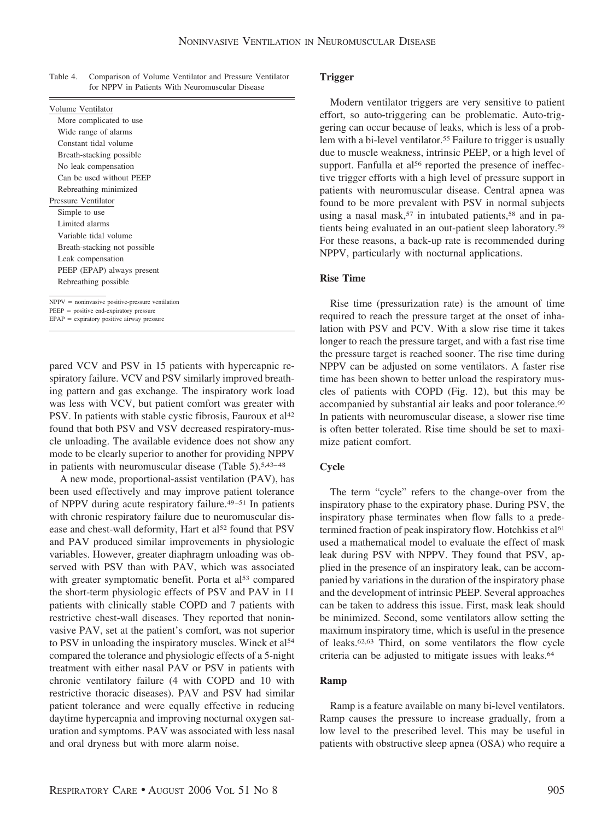| Table 4. | Comparison of Volume Ventilator and Pressure Ventilator |
|----------|---------------------------------------------------------|
|          | for NPPV in Patients With Neuromuscular Disease         |

| Volume Ventilator                                  |
|----------------------------------------------------|
| More complicated to use                            |
| Wide range of alarms                               |
| Constant tidal volume                              |
| Breath-stacking possible.                          |
| No leak compensation                               |
| Can be used without PEEP                           |
| Rebreathing minimized                              |
| Pressure Ventilator                                |
| Simple to use                                      |
| Limited alarms                                     |
| Variable tidal volume                              |
| Breath-stacking not possible                       |
| Leak compensation                                  |
| PEEP (EPAP) always present                         |
| Rebreathing possible.                              |
|                                                    |
| $NPPV = noninvasive positive-pressure ventilation$ |
| $PEEP = positive end-expiratory pressure$          |
| $EPAP =$ expiratory positive airway pressure       |

pared VCV and PSV in 15 patients with hypercapnic respiratory failure. VCV and PSV similarly improved breathing pattern and gas exchange. The inspiratory work load was less with VCV, but patient comfort was greater with PSV. In patients with stable cystic fibrosis, Fauroux et al<sup>42</sup> found that both PSV and VSV decreased respiratory-muscle unloading. The available evidence does not show any mode to be clearly superior to another for providing NPPV in patients with neuromuscular disease (Table 5).5,43–48

A new mode, proportional-assist ventilation (PAV), has been used effectively and may improve patient tolerance of NPPV during acute respiratory failure.49–51 In patients with chronic respiratory failure due to neuromuscular disease and chest-wall deformity, Hart et al<sup>52</sup> found that PSV and PAV produced similar improvements in physiologic variables. However, greater diaphragm unloading was observed with PSV than with PAV, which was associated with greater symptomatic benefit. Porta et al<sup>53</sup> compared the short-term physiologic effects of PSV and PAV in 11 patients with clinically stable COPD and 7 patients with restrictive chest-wall diseases. They reported that noninvasive PAV, set at the patient's comfort, was not superior to PSV in unloading the inspiratory muscles. Winck et al<sup>54</sup> compared the tolerance and physiologic effects of a 5-night treatment with either nasal PAV or PSV in patients with chronic ventilatory failure (4 with COPD and 10 with restrictive thoracic diseases). PAV and PSV had similar patient tolerance and were equally effective in reducing daytime hypercapnia and improving nocturnal oxygen saturation and symptoms. PAV was associated with less nasal and oral dryness but with more alarm noise.

## **Trigger**

Modern ventilator triggers are very sensitive to patient effort, so auto-triggering can be problematic. Auto-triggering can occur because of leaks, which is less of a problem with a bi-level ventilator.<sup>55</sup> Failure to trigger is usually due to muscle weakness, intrinsic PEEP, or a high level of support. Fanfulla et al<sup>56</sup> reported the presence of ineffective trigger efforts with a high level of pressure support in patients with neuromuscular disease. Central apnea was found to be more prevalent with PSV in normal subjects using a nasal mask,<sup>57</sup> in intubated patients,<sup>58</sup> and in patients being evaluated in an out-patient sleep laboratory.59 For these reasons, a back-up rate is recommended during NPPV, particularly with nocturnal applications.

#### **Rise Time**

Rise time (pressurization rate) is the amount of time required to reach the pressure target at the onset of inhalation with PSV and PCV. With a slow rise time it takes longer to reach the pressure target, and with a fast rise time the pressure target is reached sooner. The rise time during NPPV can be adjusted on some ventilators. A faster rise time has been shown to better unload the respiratory muscles of patients with COPD (Fig. 12), but this may be accompanied by substantial air leaks and poor tolerance.<sup>60</sup> In patients with neuromuscular disease, a slower rise time is often better tolerated. Rise time should be set to maximize patient comfort.

## **Cycle**

The term "cycle" refers to the change-over from the inspiratory phase to the expiratory phase. During PSV, the inspiratory phase terminates when flow falls to a predetermined fraction of peak inspiratory flow. Hotchkiss et al<sup>61</sup> used a mathematical model to evaluate the effect of mask leak during PSV with NPPV. They found that PSV, applied in the presence of an inspiratory leak, can be accompanied by variations in the duration of the inspiratory phase and the development of intrinsic PEEP. Several approaches can be taken to address this issue. First, mask leak should be minimized. Second, some ventilators allow setting the maximum inspiratory time, which is useful in the presence of leaks.62,63 Third, on some ventilators the flow cycle criteria can be adjusted to mitigate issues with leaks.64

## **Ramp**

Ramp is a feature available on many bi-level ventilators. Ramp causes the pressure to increase gradually, from a low level to the prescribed level. This may be useful in patients with obstructive sleep apnea (OSA) who require a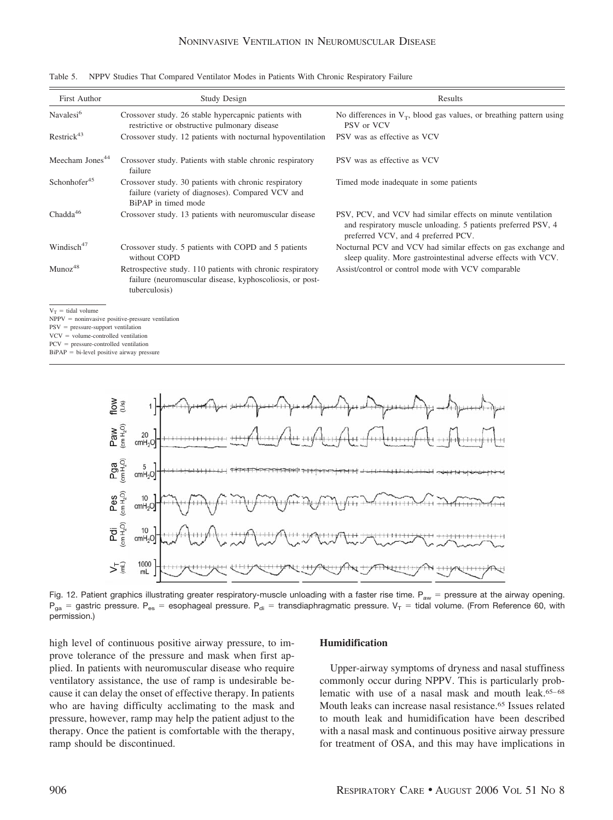| First Author                                                                  | <b>Study Design</b>                                                                                                                     | Results                                                                                                                                                             |
|-------------------------------------------------------------------------------|-----------------------------------------------------------------------------------------------------------------------------------------|---------------------------------------------------------------------------------------------------------------------------------------------------------------------|
| Navalesi <sup>6</sup>                                                         | Crossover study. 26 stable hypercapnic patients with<br>restrictive or obstructive pulmonary disease                                    | No differences in $V_T$ , blood gas values, or breathing pattern using<br>PSV or VCV                                                                                |
| Restrick <sup>43</sup>                                                        | Crossover study. 12 patients with nocturnal hypoventilation                                                                             | PSV was as effective as VCV                                                                                                                                         |
| Meecham Jones <sup>44</sup>                                                   | Crossover study. Patients with stable chronic respiratory<br>failure                                                                    | PSV was as effective as VCV                                                                                                                                         |
| Schonhofer <sup>45</sup>                                                      | Crossover study. 30 patients with chronic respiratory<br>failure (variety of diagnoses). Compared VCV and<br>BiPAP in timed mode        | Timed mode inadequate in some patients                                                                                                                              |
| Chadda <sup>46</sup>                                                          | Crossover study. 13 patients with neuromuscular disease                                                                                 | PSV, PCV, and VCV had similar effects on minute ventilation<br>and respiratory muscle unloading. 5 patients preferred PSV, 4<br>preferred VCV, and 4 preferred PCV. |
| Windisch <sup>47</sup>                                                        | Crossover study. 5 patients with COPD and 5 patients<br>without COPD                                                                    | Nocturnal PCV and VCV had similar effects on gas exchange and<br>sleep quality. More gastrointestinal adverse effects with VCV.                                     |
| Munoz <sup>48</sup>                                                           | Retrospective study. 110 patients with chronic respiratory<br>failure (neuromuscular disease, kyphoscoliosis, or post-<br>tuberculosis) | Assist/control or control mode with VCV comparable                                                                                                                  |
| $V_T$ = tidal volume                                                          |                                                                                                                                         |                                                                                                                                                                     |
| $NPPV = noninvasive positive-pressure ventilation$                            |                                                                                                                                         |                                                                                                                                                                     |
| $PSV = pressure-support ventilation$<br>$VCV = volume-controlled ventilation$ |                                                                                                                                         |                                                                                                                                                                     |
|                                                                               |                                                                                                                                         |                                                                                                                                                                     |

Table 5. NPPV Studies That Compared Ventilator Modes in Patients With Chronic Respiratory Failure

PCV = pressure-controlled ventilation

 $BiPAP = bi-level positive airway pressure$ 



Fig. 12. Patient graphics illustrating greater respiratory-muscle unloading with a faster rise time.  $P_{aw}$  = pressure at the airway opening.  $P_{ga}$  = gastric pressure. P<sub>es</sub> = esophageal pressure. P<sub>di</sub> = transdiaphragmatic pressure. V<sub>T</sub> = tidal volume. (From Reference 60, with permission.)

high level of continuous positive airway pressure, to improve tolerance of the pressure and mask when first applied. In patients with neuromuscular disease who require ventilatory assistance, the use of ramp is undesirable because it can delay the onset of effective therapy. In patients who are having difficulty acclimating to the mask and pressure, however, ramp may help the patient adjust to the therapy. Once the patient is comfortable with the therapy, ramp should be discontinued.

## **Humidification**

Upper-airway symptoms of dryness and nasal stuffiness commonly occur during NPPV. This is particularly problematic with use of a nasal mask and mouth leak.65–68 Mouth leaks can increase nasal resistance.65 Issues related to mouth leak and humidification have been described with a nasal mask and continuous positive airway pressure for treatment of OSA, and this may have implications in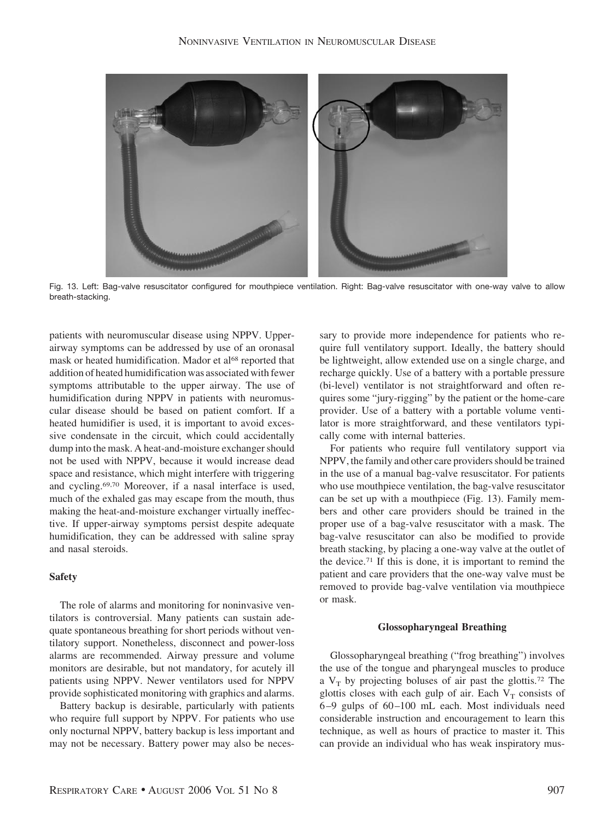

Fig. 13. Left: Bag-valve resuscitator configured for mouthpiece ventilation. Right: Bag-valve resuscitator with one-way valve to allow breath-stacking.

patients with neuromuscular disease using NPPV. Upperairway symptoms can be addressed by use of an oronasal mask or heated humidification. Mador et al<sup>68</sup> reported that addition of heated humidification was associated with fewer symptoms attributable to the upper airway. The use of humidification during NPPV in patients with neuromuscular disease should be based on patient comfort. If a heated humidifier is used, it is important to avoid excessive condensate in the circuit, which could accidentally dump into the mask. A heat-and-moisture exchanger should not be used with NPPV, because it would increase dead space and resistance, which might interfere with triggering and cycling.69,70 Moreover, if a nasal interface is used, much of the exhaled gas may escape from the mouth, thus making the heat-and-moisture exchanger virtually ineffective. If upper-airway symptoms persist despite adequate humidification, they can be addressed with saline spray and nasal steroids.

## **Safety**

The role of alarms and monitoring for noninvasive ventilators is controversial. Many patients can sustain adequate spontaneous breathing for short periods without ventilatory support. Nonetheless, disconnect and power-loss alarms are recommended. Airway pressure and volume monitors are desirable, but not mandatory, for acutely ill patients using NPPV. Newer ventilators used for NPPV provide sophisticated monitoring with graphics and alarms.

Battery backup is desirable, particularly with patients who require full support by NPPV. For patients who use only nocturnal NPPV, battery backup is less important and may not be necessary. Battery power may also be necessary to provide more independence for patients who require full ventilatory support. Ideally, the battery should be lightweight, allow extended use on a single charge, and recharge quickly. Use of a battery with a portable pressure (bi-level) ventilator is not straightforward and often requires some "jury-rigging" by the patient or the home-care provider. Use of a battery with a portable volume ventilator is more straightforward, and these ventilators typically come with internal batteries.

For patients who require full ventilatory support via NPPV, the family and other care providers should be trained in the use of a manual bag-valve resuscitator. For patients who use mouthpiece ventilation, the bag-valve resuscitator can be set up with a mouthpiece (Fig. 13). Family members and other care providers should be trained in the proper use of a bag-valve resuscitator with a mask. The bag-valve resuscitator can also be modified to provide breath stacking, by placing a one-way valve at the outlet of the device.71 If this is done, it is important to remind the patient and care providers that the one-way valve must be removed to provide bag-valve ventilation via mouthpiece or mask.

#### **Glossopharyngeal Breathing**

Glossopharyngeal breathing ("frog breathing") involves the use of the tongue and pharyngeal muscles to produce a  $V_T$  by projecting boluses of air past the glottis.<sup>72</sup> The glottis closes with each gulp of air. Each  $V_T$  consists of 6–9 gulps of 60–100 mL each. Most individuals need considerable instruction and encouragement to learn this technique, as well as hours of practice to master it. This can provide an individual who has weak inspiratory mus-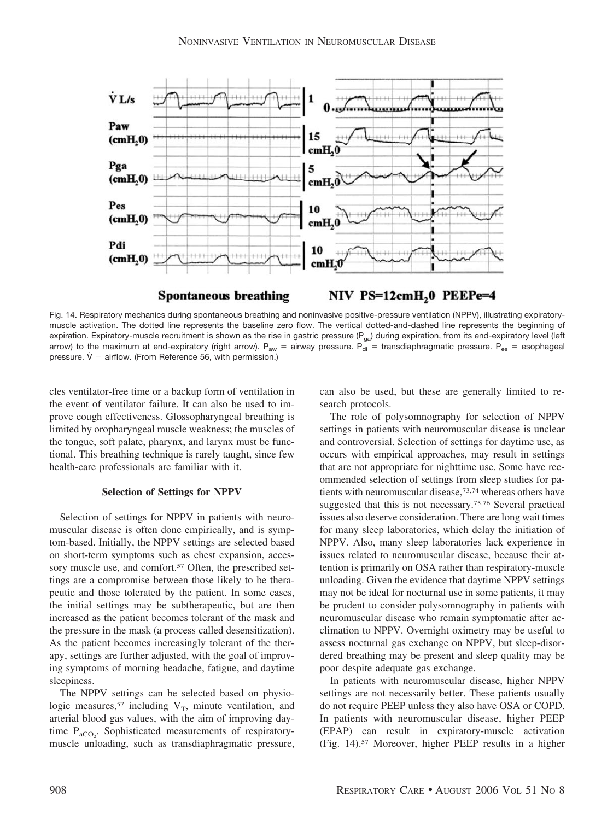

Fig. 14. Respiratory mechanics during spontaneous breathing and noninvasive positive-pressure ventilation (NPPV), illustrating expiratorymuscle activation. The dotted line represents the baseline zero flow. The vertical dotted-and-dashed line represents the beginning of expiration. Expiratory-muscle recruitment is shown as the rise in gastric pressure (P<sub>ga</sub>) during expiration, from its end-expiratory level (left arrow) to the maximum at end-expiratory (right arrow).  $P_{aw} =$  airway pressure.  $P_{di} =$  transdiaphragmatic pressure.  $P_{es} =$  esophageal pressure.  $V =$  airflow. (From Reference 56, with permission.)

cles ventilator-free time or a backup form of ventilation in the event of ventilator failure. It can also be used to improve cough effectiveness. Glossopharyngeal breathing is limited by oropharyngeal muscle weakness; the muscles of the tongue, soft palate, pharynx, and larynx must be functional. This breathing technique is rarely taught, since few health-care professionals are familiar with it.

#### **Selection of Settings for NPPV**

Selection of settings for NPPV in patients with neuromuscular disease is often done empirically, and is symptom-based. Initially, the NPPV settings are selected based on short-term symptoms such as chest expansion, accessory muscle use, and comfort.<sup>57</sup> Often, the prescribed settings are a compromise between those likely to be therapeutic and those tolerated by the patient. In some cases, the initial settings may be subtherapeutic, but are then increased as the patient becomes tolerant of the mask and the pressure in the mask (a process called desensitization). As the patient becomes increasingly tolerant of the therapy, settings are further adjusted, with the goal of improving symptoms of morning headache, fatigue, and daytime sleepiness.

The NPPV settings can be selected based on physiologic measures,<sup>57</sup> including  $V_T$ , minute ventilation, and arterial blood gas values, with the aim of improving daytime  $P_{aCO_2}$ . Sophisticated measurements of respiratorymuscle unloading, such as transdiaphragmatic pressure, can also be used, but these are generally limited to research protocols.

The role of polysomnography for selection of NPPV settings in patients with neuromuscular disease is unclear and controversial. Selection of settings for daytime use, as occurs with empirical approaches, may result in settings that are not appropriate for nighttime use. Some have recommended selection of settings from sleep studies for patients with neuromuscular disease,73,74 whereas others have suggested that this is not necessary.75,76 Several practical issues also deserve consideration. There are long wait times for many sleep laboratories, which delay the initiation of NPPV. Also, many sleep laboratories lack experience in issues related to neuromuscular disease, because their attention is primarily on OSA rather than respiratory-muscle unloading. Given the evidence that daytime NPPV settings may not be ideal for nocturnal use in some patients, it may be prudent to consider polysomnography in patients with neuromuscular disease who remain symptomatic after acclimation to NPPV. Overnight oximetry may be useful to assess nocturnal gas exchange on NPPV, but sleep-disordered breathing may be present and sleep quality may be poor despite adequate gas exchange.

In patients with neuromuscular disease, higher NPPV settings are not necessarily better. These patients usually do not require PEEP unless they also have OSA or COPD. In patients with neuromuscular disease, higher PEEP (EPAP) can result in expiratory-muscle activation (Fig. 14).57 Moreover, higher PEEP results in a higher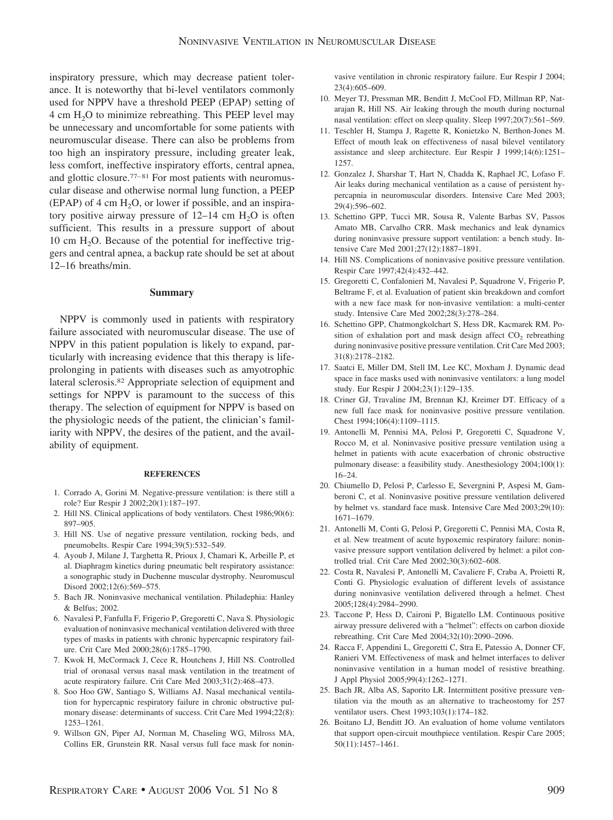inspiratory pressure, which may decrease patient tolerance. It is noteworthy that bi-level ventilators commonly used for NPPV have a threshold PEEP (EPAP) setting of  $4 \text{ cm H}_2\text{O}$  to minimize rebreathing. This PEEP level may be unnecessary and uncomfortable for some patients with neuromuscular disease. There can also be problems from too high an inspiratory pressure, including greater leak, less comfort, ineffective inspiratory efforts, central apnea, and glottic closure.77–81 For most patients with neuromuscular disease and otherwise normal lung function, a PEEP (EPAP) of 4 cm  $H_2O$ , or lower if possible, and an inspiratory positive airway pressure of  $12-14$  cm  $H<sub>2</sub>O$  is often sufficient. This results in a pressure support of about 10 cm  $H<sub>2</sub>O$ . Because of the potential for ineffective triggers and central apnea, a backup rate should be set at about 12–16 breaths/min.

#### **Summary**

NPPV is commonly used in patients with respiratory failure associated with neuromuscular disease. The use of NPPV in this patient population is likely to expand, particularly with increasing evidence that this therapy is lifeprolonging in patients with diseases such as amyotrophic lateral sclerosis.82 Appropriate selection of equipment and settings for NPPV is paramount to the success of this therapy. The selection of equipment for NPPV is based on the physiologic needs of the patient, the clinician's familiarity with NPPV, the desires of the patient, and the availability of equipment.

#### **REFERENCES**

- 1. Corrado A, Gorini M. Negative-pressure ventilation: is there still a role? Eur Respir J 2002;20(1):187–197.
- 2. Hill NS. Clinical applications of body ventilators. Chest 1986;90(6): 897–905.
- 3. Hill NS. Use of negative pressure ventilation, rocking beds, and pneumobelts. Respir Care 1994;39(5):532–549.
- 4. Ayoub J, Milane J, Targhetta R, Prioux J, Chamari K, Arbeille P, et al. Diaphragm kinetics during pneumatic belt respiratory assistance: a sonographic study in Duchenne muscular dystrophy. Neuromuscul Disord 2002;12(6):569–575.
- 5. Bach JR. Noninvasive mechanical ventilation. Philadephia: Hanley & Belfus; 2002.
- 6. Navalesi P, Fanfulla F, Frigerio P, Gregoretti C, Nava S. Physiologic evaluation of noninvasive mechanical ventilation delivered with three types of masks in patients with chronic hypercapnic respiratory failure. Crit Care Med 2000;28(6):1785–1790.
- 7. Kwok H, McCormack J, Cece R, Houtchens J, Hill NS. Controlled trial of oronasal versus nasal mask ventilation in the treatment of acute respiratory failure. Crit Care Med 2003;31(2):468–473.
- 8. Soo Hoo GW, Santiago S, Williams AJ. Nasal mechanical ventilation for hypercapnic respiratory failure in chronic obstructive pulmonary disease: determinants of success. Crit Care Med 1994;22(8): 1253–1261.
- 9. Willson GN, Piper AJ, Norman M, Chaseling WG, Milross MA, Collins ER, Grunstein RR. Nasal versus full face mask for nonin-

vasive ventilation in chronic respiratory failure. Eur Respir J 2004; 23(4):605–609.

- 10. Meyer TJ, Pressman MR, Benditt J, McCool FD, Millman RP, Natarajan R, Hill NS. Air leaking through the mouth during nocturnal nasal ventilation: effect on sleep quality. Sleep 1997;20(7):561–569.
- 11. Teschler H, Stampa J, Ragette R, Konietzko N, Berthon-Jones M. Effect of mouth leak on effectiveness of nasal bilevel ventilatory assistance and sleep architecture. Eur Respir J 1999;14(6):1251– 1257.
- 12. Gonzalez J, Sharshar T, Hart N, Chadda K, Raphael JC, Lofaso F. Air leaks during mechanical ventilation as a cause of persistent hypercapnia in neuromuscular disorders. Intensive Care Med 2003; 29(4):596–602.
- 13. Schettino GPP, Tucci MR, Sousa R, Valente Barbas SV, Passos Amato MB, Carvalho CRR. Mask mechanics and leak dynamics during noninvasive pressure support ventilation: a bench study. Intensive Care Med 2001;27(12):1887–1891.
- 14. Hill NS. Complications of noninvasive positive pressure ventilation. Respir Care 1997;42(4):432–442.
- 15. Gregoretti C, Confalonieri M, Navalesi P, Squadrone V, Frigerio P, Beltrame F, et al. Evaluation of patient skin breakdown and comfort with a new face mask for non-invasive ventilation: a multi-center study. Intensive Care Med 2002;28(3):278–284.
- 16. Schettino GPP, Chatmongkolchart S, Hess DR, Kacmarek RM. Position of exhalation port and mask design affect  $CO<sub>2</sub>$  rebreathing during noninvasive positive pressure ventilation. Crit Care Med 2003; 31(8):2178–2182.
- 17. Saatci E, Miller DM, Stell IM, Lee KC, Moxham J. Dynamic dead space in face masks used with noninvasive ventilators: a lung model study. Eur Respir J 2004;23(1):129–135.
- 18. Criner GJ, Travaline JM, Brennan KJ, Kreimer DT. Efficacy of a new full face mask for noninvasive positive pressure ventilation. Chest 1994;106(4):1109–1115.
- 19. Antonelli M, Pennisi MA, Pelosi P, Gregoretti C, Squadrone V, Rocco M, et al. Noninvasive positive pressure ventilation using a helmet in patients with acute exacerbation of chronic obstructive pulmonary disease: a feasibility study. Anesthesiology 2004;100(1): 16–24.
- 20. Chiumello D, Pelosi P, Carlesso E, Severgnini P, Aspesi M, Gamberoni C, et al. Noninvasive positive pressure ventilation delivered by helmet vs. standard face mask. Intensive Care Med 2003;29(10): 1671–1679.
- 21. Antonelli M, Conti G, Pelosi P, Gregoretti C, Pennisi MA, Costa R, et al. New treatment of acute hypoxemic respiratory failure: noninvasive pressure support ventilation delivered by helmet: a pilot controlled trial. Crit Care Med 2002;30(3):602–608.
- 22. Costa R, Navalesi P, Antonelli M, Cavaliere F, Craba A, Proietti R, Conti G. Physiologic evaluation of different levels of assistance during noninvasive ventilation delivered through a helmet. Chest 2005;128(4):2984–2990.
- 23. Taccone P, Hess D, Caironi P, Bigatello LM. Continuous positive airway pressure delivered with a "helmet": effects on carbon dioxide rebreathing. Crit Care Med 2004;32(10):2090–2096.
- 24. Racca F, Appendini L, Gregoretti C, Stra E, Patessio A, Donner CF, Ranieri VM. Effectiveness of mask and helmet interfaces to deliver noninvasive ventilation in a human model of resistive breathing. J Appl Physiol 2005;99(4):1262–1271.
- 25. Bach JR, Alba AS, Saporito LR. Intermittent positive pressure ventilation via the mouth as an alternative to tracheostomy for 257 ventilator users. Chest 1993;103(1):174–182.
- 26. Boitano LJ, Benditt JO. An evaluation of home volume ventilators that support open-circuit mouthpiece ventilation. Respir Care 2005; 50(11):1457–1461.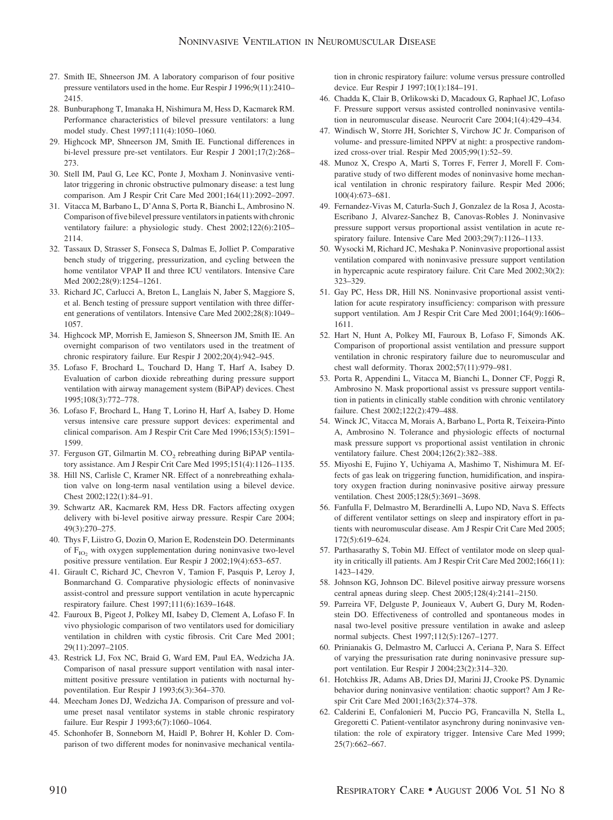- 27. Smith IE, Shneerson JM. A laboratory comparison of four positive pressure ventilators used in the home. Eur Respir J 1996;9(11):2410– 2415.
- 28. Bunburaphong T, Imanaka H, Nishimura M, Hess D, Kacmarek RM. Performance characteristics of bilevel pressure ventilators: a lung model study. Chest 1997;111(4):1050–1060.
- 29. Highcock MP, Shneerson JM, Smith IE. Functional differences in bi-level pressure pre-set ventilators. Eur Respir J 2001;17(2):268– 273.
- 30. Stell IM, Paul G, Lee KC, Ponte J, Moxham J. Noninvasive ventilator triggering in chronic obstructive pulmonary disease: a test lung comparison. Am J Respir Crit Care Med 2001;164(11):2092–2097.
- 31. Vitacca M, Barbano L, D'Anna S, Porta R, Bianchi L, Ambrosino N. Comparison of five bilevel pressure ventilators in patients with chronic ventilatory failure: a physiologic study. Chest 2002;122(6):2105– 2114.
- 32. Tassaux D, Strasser S, Fonseca S, Dalmas E, Jolliet P. Comparative bench study of triggering, pressurization, and cycling between the home ventilator VPAP II and three ICU ventilators. Intensive Care Med 2002;28(9):1254–1261.
- 33. Richard JC, Carlucci A, Breton L, Langlais N, Jaber S, Maggiore S, et al. Bench testing of pressure support ventilation with three different generations of ventilators. Intensive Care Med 2002;28(8):1049– 1057.
- 34. Highcock MP, Morrish E, Jamieson S, Shneerson JM, Smith IE. An overnight comparison of two ventilators used in the treatment of chronic respiratory failure. Eur Respir J 2002;20(4):942–945.
- 35. Lofaso F, Brochard L, Touchard D, Hang T, Harf A, Isabey D. Evaluation of carbon dioxide rebreathing during pressure support ventilation with airway management system (BiPAP) devices. Chest 1995;108(3):772–778.
- 36. Lofaso F, Brochard L, Hang T, Lorino H, Harf A, Isabey D. Home versus intensive care pressure support devices: experimental and clinical comparison. Am J Respir Crit Care Med 1996;153(5):1591– 1599.
- 37. Ferguson GT, Gilmartin M.  $CO<sub>2</sub>$  rebreathing during BiPAP ventilatory assistance. Am J Respir Crit Care Med 1995;151(4):1126–1135.
- 38. Hill NS, Carlisle C, Kramer NR. Effect of a nonrebreathing exhalation valve on long-term nasal ventilation using a bilevel device. Chest 2002;122(1):84–91.
- 39. Schwartz AR, Kacmarek RM, Hess DR. Factors affecting oxygen delivery with bi-level positive airway pressure. Respir Care 2004; 49(3):270–275.
- 40. Thys F, Liistro G, Dozin O, Marion E, Rodenstein DO. Determinants of F<sub>IO2</sub> with oxygen supplementation during noninvasive two-level positive pressure ventilation. Eur Respir J 2002;19(4):653–657.
- 41. Girault C, Richard JC, Chevron V, Tamion F, Pasquis P, Leroy J, Bonmarchand G. Comparative physiologic effects of noninvasive assist-control and pressure support ventilation in acute hypercapnic respiratory failure. Chest 1997;111(6):1639–1648.
- 42. Fauroux B, Pigeot J, Polkey MI, Isabey D, Clement A, Lofaso F. In vivo physiologic comparison of two ventilators used for domiciliary ventilation in children with cystic fibrosis. Crit Care Med 2001; 29(11):2097–2105.
- 43. Restrick LJ, Fox NC, Braid G, Ward EM, Paul EA, Wedzicha JA. Comparison of nasal pressure support ventilation with nasal intermittent positive pressure ventilation in patients with nocturnal hypoventilation. Eur Respir J 1993;6(3):364–370.
- 44. Meecham Jones DJ, Wedzicha JA. Comparison of pressure and volume preset nasal ventilator systems in stable chronic respiratory failure. Eur Respir J 1993;6(7):1060–1064.
- 45. Schonhofer B, Sonneborn M, Haidl P, Bohrer H, Kohler D. Comparison of two different modes for noninvasive mechanical ventila-

tion in chronic respiratory failure: volume versus pressure controlled device. Eur Respir J 1997;10(1):184–191.

- 46. Chadda K, Clair B, Orlikowski D, Macadoux G, Raphael JC, Lofaso F. Pressure support versus assisted controlled noninvasive ventilation in neuromuscular disease. Neurocrit Care 2004;1(4):429–434.
- 47. Windisch W, Storre JH, Sorichter S, Virchow JC Jr. Comparison of volume- and pressure-limited NPPV at night: a prospective randomized cross-over trial. Respir Med 2005;99(1):52–59.
- 48. Munoz X, Crespo A, Marti S, Torres F, Ferrer J, Morell F. Comparative study of two different modes of noninvasive home mechanical ventilation in chronic respiratory failure. Respir Med 2006; 100(4):673–681.
- 49. Fernandez-Vivas M, Caturla-Such J, Gonzalez de la Rosa J, Acosta-Escribano J, Alvarez-Sanchez B, Canovas-Robles J. Noninvasive pressure support versus proportional assist ventilation in acute respiratory failure. Intensive Care Med 2003;29(7):1126–1133.
- 50. Wysocki M, Richard JC, Meshaka P. Noninvasive proportional assist ventilation compared with noninvasive pressure support ventilation in hypercapnic acute respiratory failure. Crit Care Med 2002;30(2): 323–329.
- 51. Gay PC, Hess DR, Hill NS. Noninvasive proportional assist ventilation for acute respiratory insufficiency: comparison with pressure support ventilation. Am J Respir Crit Care Med 2001;164(9):1606– 1611.
- 52. Hart N, Hunt A, Polkey MI, Fauroux B, Lofaso F, Simonds AK. Comparison of proportional assist ventilation and pressure support ventilation in chronic respiratory failure due to neuromuscular and chest wall deformity. Thorax 2002;57(11):979–981.
- 53. Porta R, Appendini L, Vitacca M, Bianchi L, Donner CF, Poggi R, Ambrosino N. Mask proportional assist vs pressure support ventilation in patients in clinically stable condition with chronic ventilatory failure. Chest 2002;122(2):479–488.
- 54. Winck JC, Vitacca M, Morais A, Barbano L, Porta R, Teixeira-Pinto A, Ambrosino N. Tolerance and physiologic effects of nocturnal mask pressure support vs proportional assist ventilation in chronic ventilatory failure. Chest 2004;126(2):382–388.
- 55. Miyoshi E, Fujino Y, Uchiyama A, Mashimo T, Nishimura M. Effects of gas leak on triggering function, humidification, and inspiratory oxygen fraction during noninvasive positive airway pressure ventilation. Chest 2005;128(5):3691–3698.
- 56. Fanfulla F, Delmastro M, Berardinelli A, Lupo ND, Nava S. Effects of different ventilator settings on sleep and inspiratory effort in patients with neuromuscular disease. Am J Respir Crit Care Med 2005; 172(5):619–624.
- 57. Parthasarathy S, Tobin MJ. Effect of ventilator mode on sleep quality in critically ill patients. Am J Respir Crit Care Med 2002;166(11): 1423–1429.
- 58. Johnson KG, Johnson DC. Bilevel positive airway pressure worsens central apneas during sleep. Chest 2005;128(4):2141–2150.
- 59. Parreira VF, Delguste P, Jounieaux V, Aubert G, Dury M, Rodenstein DO. Effectiveness of controlled and spontaneous modes in nasal two-level positive pressure ventilation in awake and asleep normal subjects. Chest 1997;112(5):1267–1277.
- 60. Prinianakis G, Delmastro M, Carlucci A, Ceriana P, Nara S. Effect of varying the pressurisation rate during noninvasive pressure support ventilation. Eur Respir J 2004;23(2):314–320.
- 61. Hotchkiss JR, Adams AB, Dries DJ, Marini JJ, Crooke PS. Dynamic behavior during noninvasive ventilation: chaotic support? Am J Respir Crit Care Med 2001;163(2):374–378.
- 62. Calderini E, Confalonieri M, Puccio PG, Francavilla N, Stella L, Gregoretti C. Patient-ventilator asynchrony during noninvasive ventilation: the role of expiratory trigger. Intensive Care Med 1999; 25(7):662–667.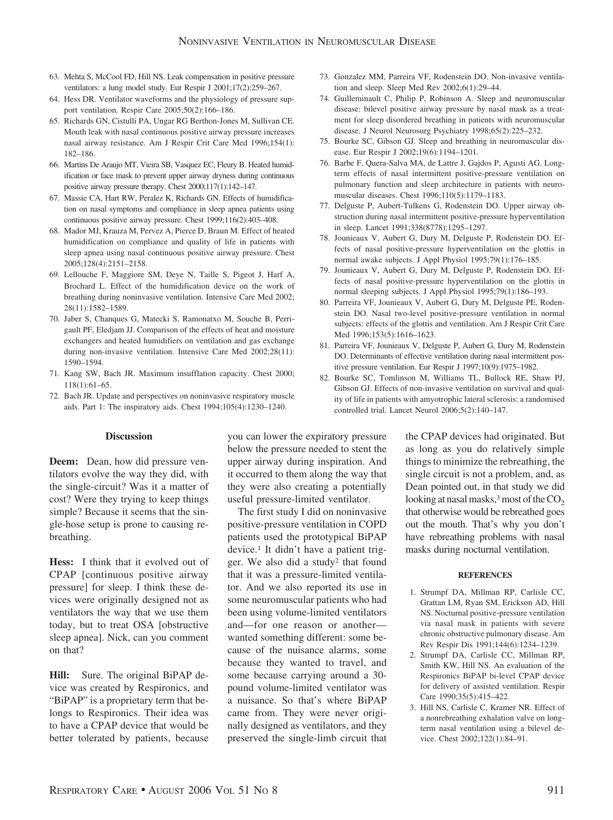- 63. Mehta S, McCool FD, Hill NS. Leak compensation in positive pressure ventilators: a lung model study. Eur Respir J 2001;17(2):259–267.
- 64. Hess DR. Ventilator waveforms and the physiology of pressure support ventilation. Respir Care 2005;50(2):166–186.
- 65. Richards GN, Cistulli PA, Ungar RG Berthon-Jones M, Sullivan CE. Mouth leak with nasal continuous positive airway pressure increases nasal airway resistance. Am J Respir Crit Care Med 1996;154(1): 182–186.
- 66. Martins De Araujo MT, Vieira SB, Vasquez EC, Fleury B. Heated humidification or face mask to prevent upper airway dryness during continuous positive airway pressure therapy. Chest 2000;117(1):142–147.
- 67. Massie CA, Hart RW, Peralez K, Richards GN. Effects of humidification on nasal symptoms and compliance in sleep apnea patients using continuous positive airway pressure. Chest 1999;116(2):403–408.
- 68. Mador MJ, Krauza M, Pervez A, Pierce D, Braun M. Effect of heated humidification on compliance and quality of life in patients with sleep apnea using nasal continuous positive airway pressure. Chest 2005;128(4):2151–2158.
- 69. Lellouche F, Maggiore SM, Deye N, Taille S, Pigeot J, Harf A, Brochard L. Effect of the humidification device on the work of breathing during noninvasive ventilation. Intensive Care Med 2002; 28(11):1582–1589.
- 70. Jaber S, Chanques G, Matecki S, Ramonatxo M, Souche B, Perrigault PF, Eledjam JJ. Comparison of the effects of heat and moisture exchangers and heated humidifiers on ventilation and gas exchange during non-invasive ventilation. Intensive Care Med 2002;28(11): 1590–1594.
- 71. Kang SW, Bach JR. Maximum insufflation capacity. Chest 2000; 118(1):61–65.
- 72. Bach JR. Update and perspectives on noninvasive respiratory muscle aids. Part 1: The inspiratory aids. Chest 1994;105(4):1230–1240.
- 73. Gonzalez MM, Parreira VF, Rodenstein DO. Non-invasive ventilation and sleep. Sleep Med Rev 2002;6(1):29–44.
- 74. Guilleminault C, Philip P, Robinson A. Sleep and neuromuscular disease: bilevel positive airway pressure by nasal mask as a treatment for sleep disordered breathing in patients with neuromuscular disease. J Neurol Neurosurg Psychiatry 1998;65(2):225–232.
- 75. Bourke SC, Gibson GJ. Sleep and breathing in neuromuscular disease. Eur Respir J 2002;19(6):1194–1201.
- 76. Barbe F, Quera-Salva MA, de Lattre J, Gajdos P, Agusti AG. Longterm effects of nasal intermittent positive-pressure ventilation on pulmonary function and sleep architecture in patients with neuromuscular diseases. Chest 1996;110(5):1179–1183.
- 77. Delguste P, Aubert-Tulkens G, Rodenstein DO. Upper airway obstruction during nasal intermittent positive-pressure hyperventilation in sleep. Lancet 1991;338(8778):1295–1297.
- 78. Jounieaux V, Aubert G, Dury M, Delguste P, Rodenstein DO. Effects of nasal positive-pressure hyperventilation on the glottis in normal awake subjects. J Appl Physiol 1995;79(1):176–185.
- 79. Jounieaux V, Aubert G, Dury M, Delguste P, Rodenstein DO. Effects of nasal positive-pressure hyperventilation on the glottis in normal sleeping subjects. J Appl Physiol 1995;79(1):186–193.
- 80. Parreira VF, Jounieaux V, Aubert G, Dury M, Delguste PE, Rodenstein DO. Nasal two-level positive-pressure ventilation in normal subjects: effects of the glottis and ventilation. Am J Respir Crit Care Med 1996;153(5):1616–1623.
- 81. Parreira VF, Jounieaux V, Delguste P, Aubert G, Dury M, Rodenstein DO. Determinants of effective ventilation during nasal intermittent positive pressure ventilation. Eur Respir J 1997;10(9):1975–1982.
- 82. Bourke SC, Tomlinson M, Williams TL, Bullock RE, Shaw PJ, Gibson GJ. Effects of non-invasive ventilation on survival and quality of life in patients with amyotrophic lateral sclerosis: a randomised controlled trial. Lancet Neurol 2006;5(2):140–147.

## **Discussion**

**Deem:** Dean, how did pressure ventilators evolve the way they did, with the single-circuit? Was it a matter of cost? Were they trying to keep things simple? Because it seems that the single-hose setup is prone to causing rebreathing.

**Hess:** I think that it evolved out of CPAP [continuous positive airway pressure] for sleep. I think these devices were originally designed not as ventilators the way that we use them today, but to treat OSA [obstructive sleep apnea]. Nick, can you comment on that?

**Hill:** Sure. The original BiPAP device was created by Respironics, and "BiPAP" is a proprietary term that belongs to Respironics. Their idea was to have a CPAP device that would be better tolerated by patients, because you can lower the expiratory pressure below the pressure needed to stent the upper airway during inspiration. And it occurred to them along the way that they were also creating a potentially useful pressure-limited ventilator.

The first study I did on noninvasive positive-pressure ventilation in COPD patients used the prototypical BiPAP device.1 It didn't have a patient trigger. We also did a study2 that found that it was a pressure-limited ventilator. And we also reported its use in some neuromuscular patients who had been using volume-limited ventilators and—for one reason or another wanted something different: some because of the nuisance alarms, some because they wanted to travel, and some because carrying around a 30 pound volume-limited ventilator was a nuisance. So that's where BiPAP came from. They were never originally designed as ventilators, and they preserved the single-limb circuit that the CPAP devices had originated. But as long as you do relatively simple things to minimize the rebreathing, the single circuit is not a problem, and, as Dean pointed out, in that study we did looking at nasal masks,<sup>3</sup> most of the  $CO<sub>2</sub>$ that otherwise would be rebreathed goes out the mouth. That's why you don't have rebreathing problems with nasal masks during nocturnal ventilation.

#### **REFERENCES**

- 1. Strumpf DA, Millman RP, Carlisle CC, Grattan LM, Ryan SM, Erickson AD, Hill NS. Nocturnal positive-pressure ventilation via nasal mask in patients with severe chronic obstructive pulmonary disease. Am Rev Respir Dis 1991;144(6):1234–1239.
- 2. Strumpf DA, Carlisle CC, Millman RP, Smith KW, Hill NS. An evaluation of the Respironics BiPAP bi-level CPAP device for delivery of assisted ventilation. Respir Care 1990;35(5):415–422.
- 3. Hill NS, Carlisle C, Kramer NR. Effect of a nonrebreathing exhalation valve on longterm nasal ventilation using a bilevel device. Chest 2002;122(1):84–91.